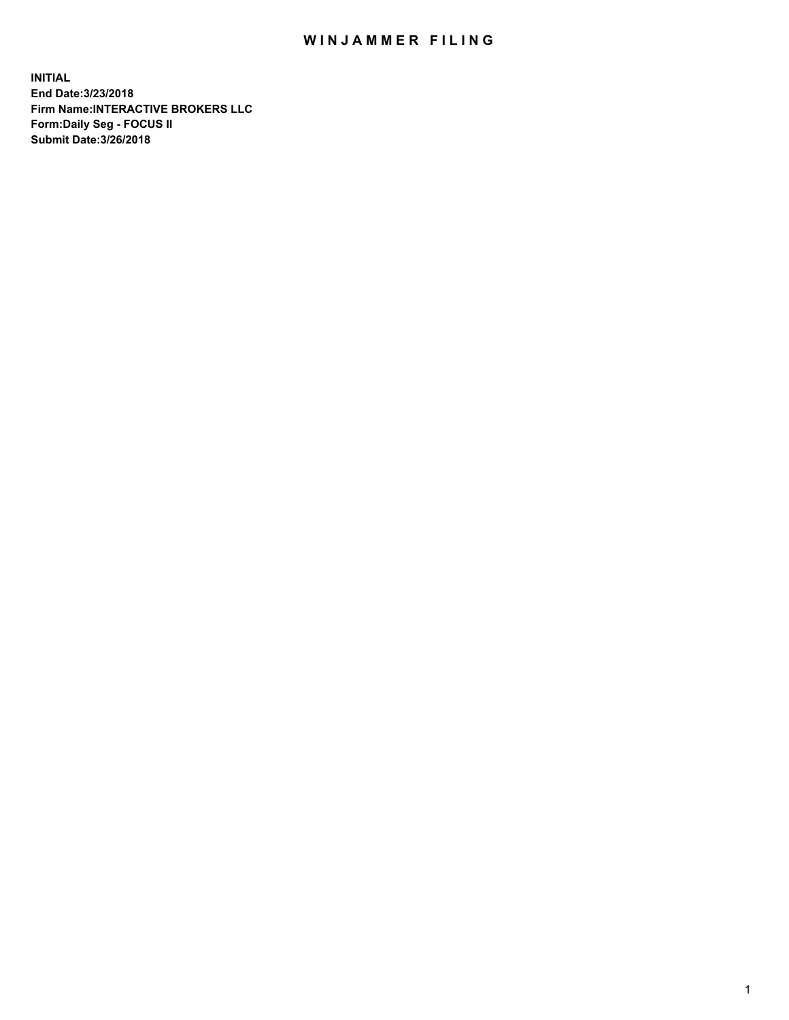## WIN JAMMER FILING

**INITIAL End Date:3/23/2018 Firm Name:INTERACTIVE BROKERS LLC Form:Daily Seg - FOCUS II Submit Date:3/26/2018**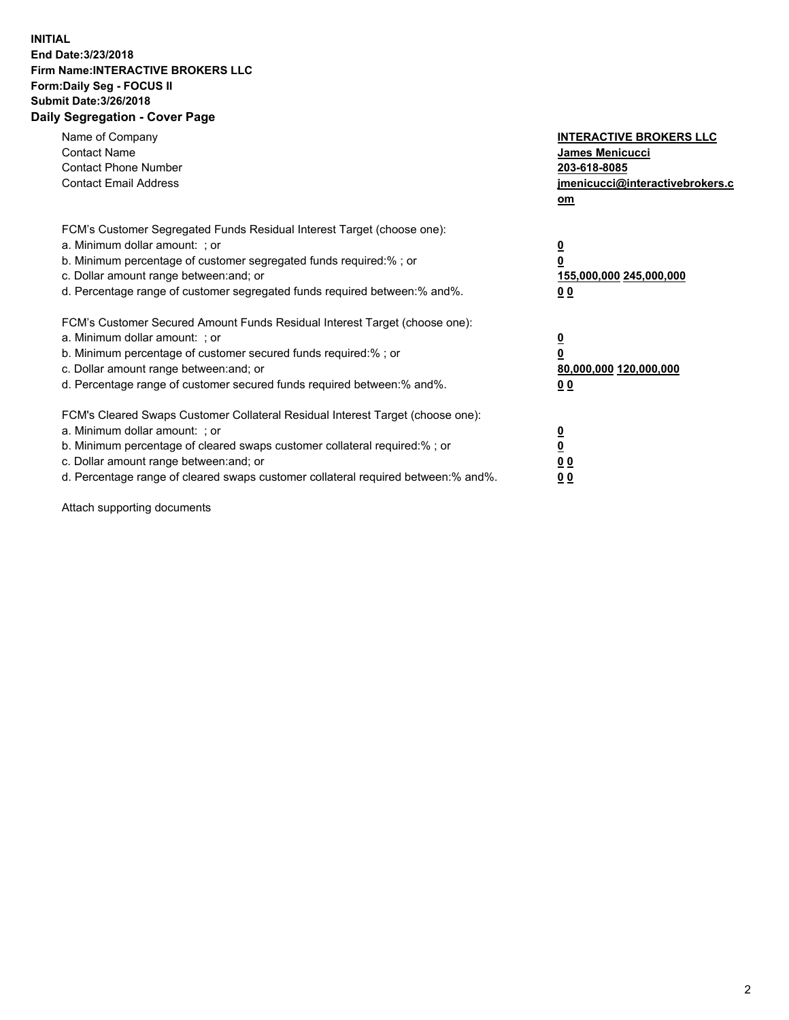## **INITIAL End Date:3/23/2018 Firm Name:INTERACTIVE BROKERS LLC Form:Daily Seg - FOCUS II Submit Date:3/26/2018 Daily Segregation - Cover Page**

| Name of Company<br><b>Contact Name</b><br><b>Contact Phone Number</b><br><b>Contact Email Address</b>                                                                                                                                                                                                                          | <b>INTERACTIVE BROKERS LLC</b><br>James Menicucci<br>203-618-8085<br>jmenicucci@interactivebrokers.c<br>om |
|--------------------------------------------------------------------------------------------------------------------------------------------------------------------------------------------------------------------------------------------------------------------------------------------------------------------------------|------------------------------------------------------------------------------------------------------------|
| FCM's Customer Segregated Funds Residual Interest Target (choose one):<br>a. Minimum dollar amount: ; or<br>b. Minimum percentage of customer segregated funds required:%; or<br>c. Dollar amount range between: and; or<br>d. Percentage range of customer segregated funds required between:% and%.                          | $\overline{\mathbf{0}}$<br>0<br>155,000,000 245,000,000<br>0 <sub>0</sub>                                  |
| FCM's Customer Secured Amount Funds Residual Interest Target (choose one):<br>a. Minimum dollar amount: ; or<br>b. Minimum percentage of customer secured funds required:%; or<br>c. Dollar amount range between: and; or<br>d. Percentage range of customer secured funds required between:% and%.                            | $\overline{\mathbf{0}}$<br>$\overline{\mathbf{0}}$<br>80,000,000 120,000,000<br>00                         |
| FCM's Cleared Swaps Customer Collateral Residual Interest Target (choose one):<br>a. Minimum dollar amount: ; or<br>b. Minimum percentage of cleared swaps customer collateral required:% ; or<br>c. Dollar amount range between: and; or<br>d. Percentage range of cleared swaps customer collateral required between:% and%. | $\overline{\mathbf{0}}$<br>$\overline{\mathbf{0}}$<br>0 <sub>0</sub><br><u>00</u>                          |

Attach supporting documents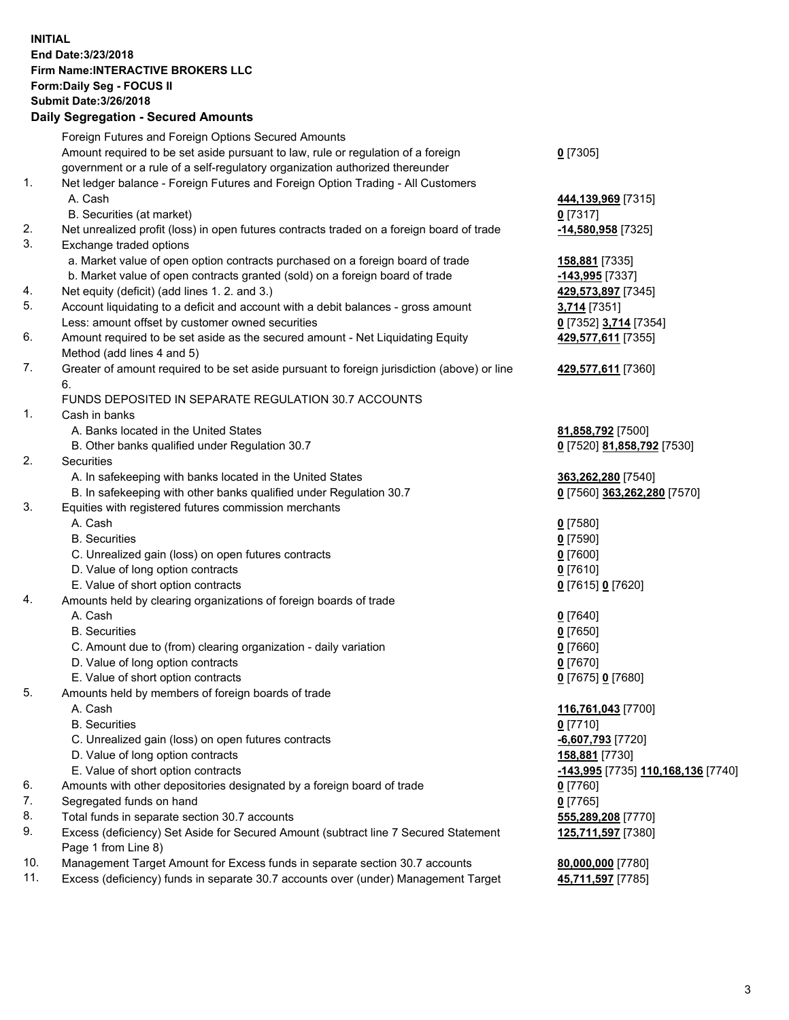## **INITIAL End Date:3/23/2018 Firm Name:INTERACTIVE BROKERS LLC Form:Daily Seg - FOCUS II Submit Date:3/26/2018 Daily Segregation - Secured Amounts**

|     | Daily Segregation - Secured Alliounts                                                                      |                                    |
|-----|------------------------------------------------------------------------------------------------------------|------------------------------------|
|     | Foreign Futures and Foreign Options Secured Amounts                                                        |                                    |
|     | Amount required to be set aside pursuant to law, rule or regulation of a foreign                           | $0$ [7305]                         |
|     | government or a rule of a self-regulatory organization authorized thereunder                               |                                    |
| 1.  | Net ledger balance - Foreign Futures and Foreign Option Trading - All Customers                            |                                    |
|     | A. Cash                                                                                                    | 444,139,969 [7315]                 |
|     | B. Securities (at market)                                                                                  | $0$ [7317]                         |
| 2.  | Net unrealized profit (loss) in open futures contracts traded on a foreign board of trade                  | -14,580,958 [7325]                 |
| 3.  | Exchange traded options                                                                                    |                                    |
|     | a. Market value of open option contracts purchased on a foreign board of trade                             | 158,881 [7335]                     |
|     | b. Market value of open contracts granted (sold) on a foreign board of trade                               | -143,995 [7337]                    |
| 4.  | Net equity (deficit) (add lines 1. 2. and 3.)                                                              | 429,573,897 [7345]                 |
| 5.  | Account liquidating to a deficit and account with a debit balances - gross amount                          | 3,714 [7351]                       |
|     | Less: amount offset by customer owned securities                                                           | 0 [7352] 3,714 [7354]              |
| 6.  | Amount required to be set aside as the secured amount - Net Liquidating Equity                             | 429,577,611 [7355]                 |
|     | Method (add lines 4 and 5)                                                                                 |                                    |
| 7.  | Greater of amount required to be set aside pursuant to foreign jurisdiction (above) or line                | 429,577,611 [7360]                 |
|     | 6.                                                                                                         |                                    |
|     | FUNDS DEPOSITED IN SEPARATE REGULATION 30.7 ACCOUNTS                                                       |                                    |
| 1.  | Cash in banks                                                                                              |                                    |
|     | A. Banks located in the United States                                                                      | 81,858,792 [7500]                  |
|     | B. Other banks qualified under Regulation 30.7                                                             | 0 [7520] 81,858,792 [7530]         |
| 2.  | Securities                                                                                                 |                                    |
|     | A. In safekeeping with banks located in the United States                                                  | 363,262,280 [7540]                 |
|     | B. In safekeeping with other banks qualified under Regulation 30.7                                         | 0 [7560] 363,262,280 [7570]        |
| 3.  | Equities with registered futures commission merchants                                                      |                                    |
|     | A. Cash                                                                                                    | $0$ [7580]                         |
|     | <b>B.</b> Securities                                                                                       | $0$ [7590]                         |
|     | C. Unrealized gain (loss) on open futures contracts                                                        | $0$ [7600]                         |
|     | D. Value of long option contracts                                                                          | $0$ [7610]                         |
|     | E. Value of short option contracts                                                                         | 0 [7615] 0 [7620]                  |
| 4.  | Amounts held by clearing organizations of foreign boards of trade                                          |                                    |
|     | A. Cash                                                                                                    | $0$ [7640]                         |
|     | <b>B.</b> Securities                                                                                       | $0$ [7650]                         |
|     | C. Amount due to (from) clearing organization - daily variation                                            | $0$ [7660]                         |
|     | D. Value of long option contracts                                                                          | $0$ [7670]                         |
|     | E. Value of short option contracts                                                                         | 0 [7675] 0 [7680]                  |
| 5.  | Amounts held by members of foreign boards of trade                                                         |                                    |
|     | A. Cash                                                                                                    | 116,761,043 [7700]                 |
|     | <b>B.</b> Securities                                                                                       | $0$ [7710]                         |
|     | C. Unrealized gain (loss) on open futures contracts                                                        | -6,607,793 [7720]                  |
|     | D. Value of long option contracts                                                                          | 158,881 [7730]                     |
|     | E. Value of short option contracts                                                                         | -143,995 [7735] 110,168,136 [7740] |
| 6.  | Amounts with other depositories designated by a foreign board of trade                                     | 0 [7760]                           |
| 7.  | Segregated funds on hand                                                                                   | $0$ [7765]                         |
| 8.  | Total funds in separate section 30.7 accounts                                                              | 555,289,208 [7770]                 |
| 9.  | Excess (deficiency) Set Aside for Secured Amount (subtract line 7 Secured Statement<br>Page 1 from Line 8) | 125,711,597 [7380]                 |
| 10. | Management Target Amount for Excess funds in separate section 30.7 accounts                                | 80,000,000 [7780]                  |
| 11. | Excess (deficiency) funds in separate 30.7 accounts over (under) Management Target                         | 45,711,597 [7785]                  |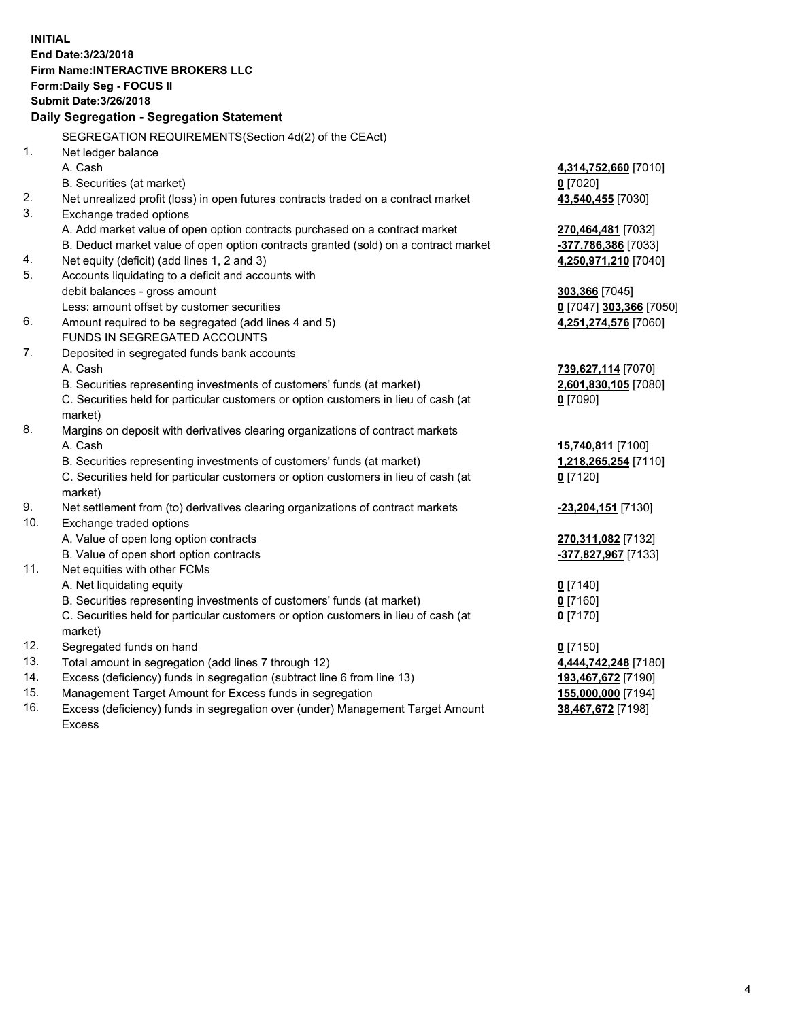**INITIAL End Date:3/23/2018 Firm Name:INTERACTIVE BROKERS LLC Form:Daily Seg - FOCUS II Submit Date:3/26/2018 Daily Segregation - Segregation Statement** SEGREGATION REQUIREMENTS(Section 4d(2) of the CEAct) 1. Net ledger balance A. Cash **4,314,752,660** [7010] B. Securities (at market) **0** [7020] 2. Net unrealized profit (loss) in open futures contracts traded on a contract market **43,540,455** [7030] 3. Exchange traded options A. Add market value of open option contracts purchased on a contract market **270,464,481** [7032] B. Deduct market value of open option contracts granted (sold) on a contract market **-377,786,386** [7033] 4. Net equity (deficit) (add lines 1, 2 and 3) **4,250,971,210** [7040] 5. Accounts liquidating to a deficit and accounts with debit balances - gross amount **303,366** [7045] Less: amount offset by customer securities **0** [7047] **303,366** [7050] 6. Amount required to be segregated (add lines 4 and 5) **4,251,274,576** [7060] FUNDS IN SEGREGATED ACCOUNTS 7. Deposited in segregated funds bank accounts A. Cash **739,627,114** [7070] B. Securities representing investments of customers' funds (at market) **2,601,830,105** [7080] C. Securities held for particular customers or option customers in lieu of cash (at market) **0** [7090] 8. Margins on deposit with derivatives clearing organizations of contract markets A. Cash **15,740,811** [7100] B. Securities representing investments of customers' funds (at market) **1,218,265,254** [7110] C. Securities held for particular customers or option customers in lieu of cash (at market) **0** [7120] 9. Net settlement from (to) derivatives clearing organizations of contract markets **-23,204,151** [7130] 10. Exchange traded options A. Value of open long option contracts **270,311,082** [7132] B. Value of open short option contracts **-377,827,967** [7133] 11. Net equities with other FCMs A. Net liquidating equity **0** [7140] B. Securities representing investments of customers' funds (at market) **0** [7160] C. Securities held for particular customers or option customers in lieu of cash (at market) **0** [7170] 12. Segregated funds on hand **0** [7150] 13. Total amount in segregation (add lines 7 through 12) **4,444,742,248** [7180] 14. Excess (deficiency) funds in segregation (subtract line 6 from line 13) **193,467,672** [7190] 15. Management Target Amount for Excess funds in segregation **155,000,000** [7194] **38,467,672** [7198]

16. Excess (deficiency) funds in segregation over (under) Management Target Amount Excess